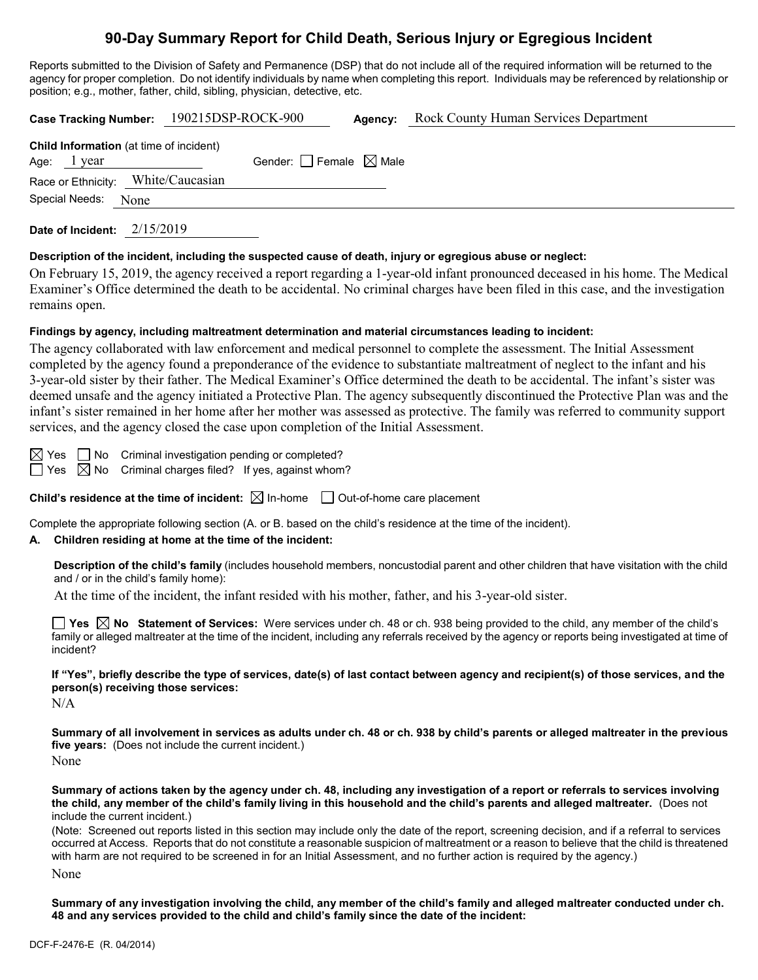# **90-Day Summary Report for Child Death, Serious Injury or Egregious Incident**

Reports submitted to the Division of Safety and Permanence (DSP) that do not include all of the required information will be returned to the agency for proper completion. Do not identify individuals by name when completing this report. Individuals may be referenced by relationship or position; e.g., mother, father, child, sibling, physician, detective, etc.

|                                                | Case Tracking Number: 190215DSP-ROCK-900 |                                     | Agency: | <b>Rock County Human Services Department</b> |
|------------------------------------------------|------------------------------------------|-------------------------------------|---------|----------------------------------------------|
| <b>Child Information</b> (at time of incident) |                                          |                                     |         |                                              |
| Age: $1$ year                                  |                                          | Gender: $ $ Female $\boxtimes$ Male |         |                                              |
| Race or Ethnicity: White/Caucasian             |                                          |                                     |         |                                              |
| Special Needs: None                            |                                          |                                     |         |                                              |
|                                                |                                          |                                     |         |                                              |

**Date of Incident:** 2/15/2019

#### **Description of the incident, including the suspected cause of death, injury or egregious abuse or neglect:**

On February 15, 2019, the agency received a report regarding a 1-year-old infant pronounced deceased in his home. The Medical Examiner's Office determined the death to be accidental. No criminal charges have been filed in this case, and the investigation remains open.

#### **Findings by agency, including maltreatment determination and material circumstances leading to incident:**

The agency collaborated with law enforcement and medical personnel to complete the assessment. The Initial Assessment completed by the agency found a preponderance of the evidence to substantiate maltreatment of neglect to the infant and his 3-year-old sister by their father. The Medical Examiner's Office determined the death to be accidental. The infant's sister was deemed unsafe and the agency initiated a Protective Plan. The agency subsequently discontinued the Protective Plan was and the infant's sister remained in her home after her mother was assessed as protective. The family was referred to community support services, and the agency closed the case upon completion of the Initial Assessment.

 $\boxtimes$  Yes  $\Box$  No Criminal investigation pending or completed?

 $\Box$  Yes  $\boxtimes$  No Criminal charges filed? If yes, against whom?

**Child's residence at the time of incident:**  $\boxtimes$  In-home  $\Box$  Out-of-home care placement

Complete the appropriate following section (A. or B. based on the child's residence at the time of the incident).

#### **A. Children residing at home at the time of the incident:**

**Description of the child's family** (includes household members, noncustodial parent and other children that have visitation with the child and / or in the child's family home):

At the time of the incident, the infant resided with his mother, father, and his 3-year-old sister.

**Yes No Statement of Services:** Were services under ch. 48 or ch. 938 being provided to the child, any member of the child's family or alleged maltreater at the time of the incident, including any referrals received by the agency or reports being investigated at time of incident?

**If "Yes", briefly describe the type of services, date(s) of last contact between agency and recipient(s) of those services, and the person(s) receiving those services:**

N/A

**Summary of all involvement in services as adults under ch. 48 or ch. 938 by child's parents or alleged maltreater in the previous five years:** (Does not include the current incident.)

None

**Summary of actions taken by the agency under ch. 48, including any investigation of a report or referrals to services involving the child, any member of the child's family living in this household and the child's parents and alleged maltreater.** (Does not include the current incident.)

(Note: Screened out reports listed in this section may include only the date of the report, screening decision, and if a referral to services occurred at Access. Reports that do not constitute a reasonable suspicion of maltreatment or a reason to believe that the child is threatened with harm are not required to be screened in for an Initial Assessment, and no further action is required by the agency.) None

**Summary of any investigation involving the child, any member of the child's family and alleged maltreater conducted under ch. 48 and any services provided to the child and child's family since the date of the incident:**